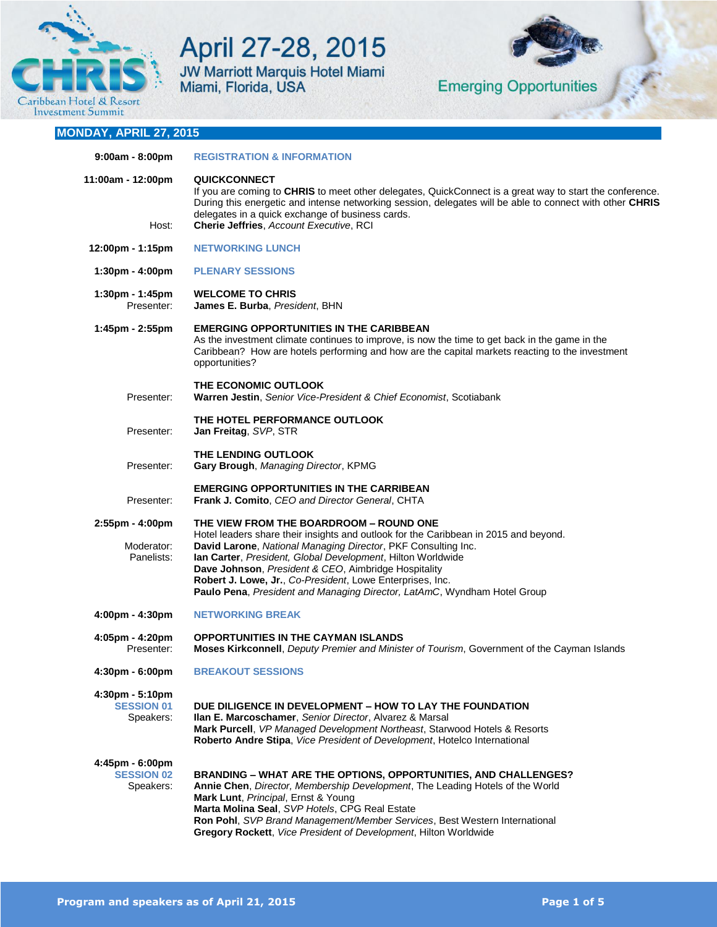

April 27-28, 2015 JW Marriott Marquis Hotel Miami<br>Miami, Florida, USA



**Emerging Opportunities** 

# **MONDAY, APRIL 27, 2015**

| $9:00am - 8:00pm$                                   | <b>REGISTRATION &amp; INFORMATION</b>                                                                                                                                                                                                                                                                                                                                                                                                                            |
|-----------------------------------------------------|------------------------------------------------------------------------------------------------------------------------------------------------------------------------------------------------------------------------------------------------------------------------------------------------------------------------------------------------------------------------------------------------------------------------------------------------------------------|
| 11:00am - 12:00pm<br>Host:                          | <b>QUICKCONNECT</b><br>If you are coming to CHRIS to meet other delegates, QuickConnect is a great way to start the conference.<br>During this energetic and intense networking session, delegates will be able to connect with other CHRIS<br>delegates in a quick exchange of business cards.<br>Cherie Jeffries, Account Executive, RCI                                                                                                                       |
| 12:00pm - 1:15pm                                    | <b>NETWORKING LUNCH</b>                                                                                                                                                                                                                                                                                                                                                                                                                                          |
| $1:30pm - 4:00pm$                                   | <b>PLENARY SESSIONS</b>                                                                                                                                                                                                                                                                                                                                                                                                                                          |
|                                                     | <b>WELCOME TO CHRIS</b>                                                                                                                                                                                                                                                                                                                                                                                                                                          |
| 1:30pm - 1:45pm<br>Presenter:                       | James E. Burba, President, BHN                                                                                                                                                                                                                                                                                                                                                                                                                                   |
| 1:45pm - 2:55pm                                     | <b>EMERGING OPPORTUNITIES IN THE CARIBBEAN</b><br>As the investment climate continues to improve, is now the time to get back in the game in the<br>Caribbean? How are hotels performing and how are the capital markets reacting to the investment<br>opportunities?                                                                                                                                                                                            |
| Presenter:                                          | THE ECONOMIC OUTLOOK<br>Warren Jestin, Senior Vice-President & Chief Economist, Scotiabank                                                                                                                                                                                                                                                                                                                                                                       |
| Presenter:                                          | THE HOTEL PERFORMANCE OUTLOOK<br>Jan Freitag, SVP, STR                                                                                                                                                                                                                                                                                                                                                                                                           |
| Presenter:                                          | THE LENDING OUTLOOK<br>Gary Brough, Managing Director, KPMG                                                                                                                                                                                                                                                                                                                                                                                                      |
| Presenter:                                          | <b>EMERGING OPPORTUNITIES IN THE CARRIBEAN</b><br>Frank J. Comito, CEO and Director General, CHTA                                                                                                                                                                                                                                                                                                                                                                |
| 2:55pm - 4:00pm<br>Moderator:<br>Panelists:         | THE VIEW FROM THE BOARDROOM - ROUND ONE<br>Hotel leaders share their insights and outlook for the Caribbean in 2015 and beyond.<br>David Larone, National Managing Director, PKF Consulting Inc.<br>Ian Carter, President, Global Development, Hilton Worldwide<br>Dave Johnson, President & CEO, Aimbridge Hospitality<br>Robert J. Lowe, Jr., Co-President, Lowe Enterprises, Inc.<br>Paulo Pena, President and Managing Director, LatAmC, Wyndham Hotel Group |
| $4:00 \text{pm} - 4:30 \text{pm}$                   | <b>NETWORKING BREAK</b>                                                                                                                                                                                                                                                                                                                                                                                                                                          |
| 4:05pm - 4:20pm<br>Presenter:                       | <b>OPPORTUNITIES IN THE CAYMAN ISLANDS</b><br>Moses Kirkconnell, Deputy Premier and Minister of Tourism, Government of the Cayman Islands                                                                                                                                                                                                                                                                                                                        |
| 4:30pm - 6:00pm                                     | <b>BREAKOUT SESSIONS</b>                                                                                                                                                                                                                                                                                                                                                                                                                                         |
| $4:30pm - 5:10pm$<br><b>SESSION 01</b><br>Speakers: | DUE DILIGENCE IN DEVELOPMENT - HOW TO LAY THE FOUNDATION<br>Ilan E. Marcoschamer, Senior Director, Alvarez & Marsal<br>Mark Purcell, VP Managed Development Northeast, Starwood Hotels & Resorts<br>Roberto Andre Stipa, Vice President of Development, Hotelco International                                                                                                                                                                                    |
| 4:45pm - 6:00pm<br><b>SESSION 02</b><br>Speakers:   | <b>BRANDING – WHAT ARE THE OPTIONS, OPPORTUNITIES, AND CHALLENGES?</b><br>Annie Chen, Director, Membership Development, The Leading Hotels of the World<br>Mark Lunt, Principal, Ernst & Young<br>Marta Molina Seal, SVP Hotels, CPG Real Estate<br>Ron Pohl, SVP Brand Management/Member Services, Best Western International<br>Gregory Rockett, Vice President of Development, Hilton Worldwide                                                               |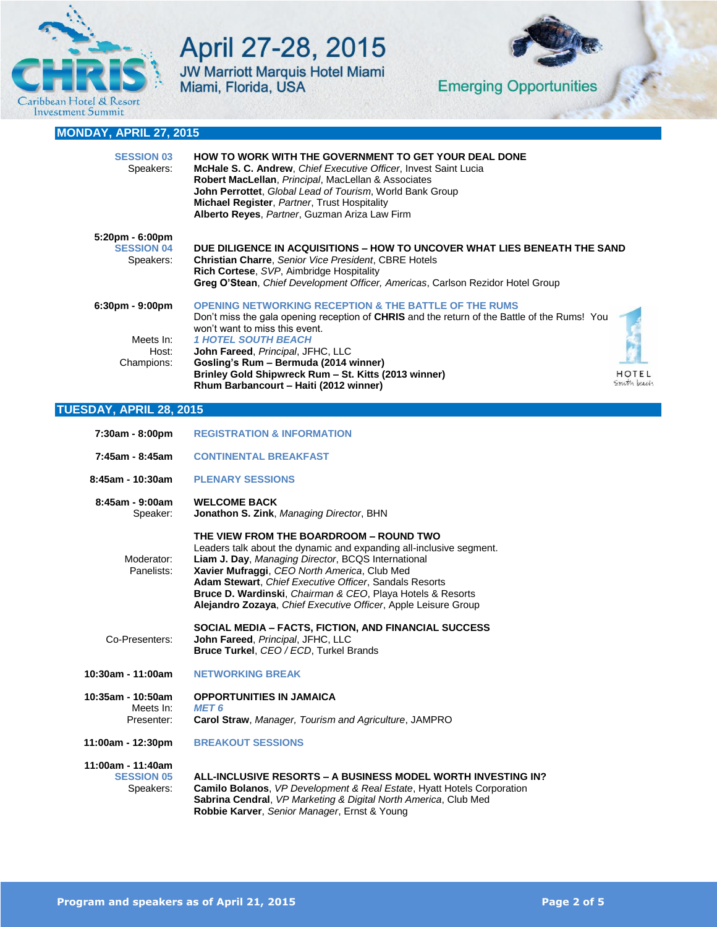

# April 27-28, 2015 **JW Marriott Marquis Hotel Miami** Miami, Florida, USA



# **MONDAY, APRIL 27, 2015**

| <b>SESSION 03</b><br>Speakers:                    | <b>HOW TO WORK WITH THE GOVERNMENT TO GET YOUR DEAL DONE</b><br>McHale S. C. Andrew, Chief Executive Officer, Invest Saint Lucia<br>Robert MacLellan, Principal, MacLellan & Associates<br>John Perrottet, Global Lead of Tourism, World Bank Group<br><b>Michael Register, Partner, Trust Hospitality</b><br>Alberto Reyes, Partner, Guzman Ariza Law Firm |              |
|---------------------------------------------------|-------------------------------------------------------------------------------------------------------------------------------------------------------------------------------------------------------------------------------------------------------------------------------------------------------------------------------------------------------------|--------------|
| 5:20pm - 6:00pm<br><b>SESSION 04</b><br>Speakers: | DUE DILIGENCE IN ACQUISITIONS – HOW TO UNCOVER WHAT LIES BENEATH THE SAND<br><b>Christian Charre, Senior Vice President, CBRE Hotels</b><br>Rich Cortese, SVP, Aimbridge Hospitality<br>Greg O'Stean, Chief Development Officer, Americas, Carlson Rezidor Hotel Group                                                                                      |              |
| 6:30pm - 9:00pm                                   | <b>OPENING NETWORKING RECEPTION &amp; THE BATTLE OF THE RUMS</b><br>Don't miss the gala opening reception of <b>CHRIS</b> and the return of the Battle of the Rums! You<br>won't want to miss this event.                                                                                                                                                   |              |
| Meets In:                                         | <b>1 HOTEL SOUTH BEACH</b>                                                                                                                                                                                                                                                                                                                                  |              |
| Host:                                             | John Fareed, Principal, JFHC, LLC                                                                                                                                                                                                                                                                                                                           |              |
| Champions:                                        | Gosling's Rum - Bermuda (2014 winner)                                                                                                                                                                                                                                                                                                                       |              |
|                                                   | Brinley Gold Shipwreck Rum - St. Kitts (2013 winner)                                                                                                                                                                                                                                                                                                        | <b>HOTEL</b> |
|                                                   | Rhum Barbancourt – Haiti (2012 winner)                                                                                                                                                                                                                                                                                                                      | South peach  |

### **TUESDAY, APRIL 28, 2015**

| 7:30am - 8:00pm                                     | <b>REGISTRATION &amp; INFORMATION</b>                                                                                                                                                                                                                                                                                                                                                                          |
|-----------------------------------------------------|----------------------------------------------------------------------------------------------------------------------------------------------------------------------------------------------------------------------------------------------------------------------------------------------------------------------------------------------------------------------------------------------------------------|
| $7:45$ am - 8:45am                                  | <b>CONTINENTAL BREAKFAST</b>                                                                                                                                                                                                                                                                                                                                                                                   |
| $8:45$ am - 10:30am                                 | <b>PLENARY SESSIONS</b>                                                                                                                                                                                                                                                                                                                                                                                        |
| $8:45$ am - $9:00$ am<br>Speaker:                   | <b>WELCOME BACK</b><br>Jonathon S. Zink, Managing Director, BHN                                                                                                                                                                                                                                                                                                                                                |
| Moderator:<br>Panelists:                            | THE VIEW FROM THE BOARDROOM - ROUND TWO<br>Leaders talk about the dynamic and expanding all-inclusive segment.<br>Liam J. Day, Managing Director, BCQS International<br>Xavier Mufraggi, CEO North America, Club Med<br>Adam Stewart, Chief Executive Officer, Sandals Resorts<br>Bruce D. Wardinski, Chairman & CEO, Playa Hotels & Resorts<br>Alejandro Zozaya, Chief Executive Officer, Apple Leisure Group |
| Co-Presenters:                                      | SOCIAL MEDIA - FACTS, FICTION, AND FINANCIAL SUCCESS<br>John Fareed, Principal, JFHC, LLC<br>Bruce Turkel, CEO / ECD, Turkel Brands                                                                                                                                                                                                                                                                            |
| 10:30am - 11:00am                                   | <b>NETWORKING BREAK</b>                                                                                                                                                                                                                                                                                                                                                                                        |
| 10:35am - 10:50am<br>Meets In:<br>Presenter:        | <b>OPPORTUNITIES IN JAMAICA</b><br><b>MET 6</b><br><b>Carol Straw, Manager, Tourism and Agriculture, JAMPRO</b>                                                                                                                                                                                                                                                                                                |
| 11:00am - 12:30pm                                   | <b>BREAKOUT SESSIONS</b>                                                                                                                                                                                                                                                                                                                                                                                       |
| 11:00am - 11:40am<br><b>SESSION 05</b><br>Speakers: | ALL-INCLUSIVE RESORTS - A BUSINESS MODEL WORTH INVESTING IN?<br><b>Camilo Bolanos.</b> VP Development & Real Estate, Hyatt Hotels Corporation<br>Sabrina Cendral, VP Marketing & Digital North America, Club Med<br>Robbie Karver, Senior Manager, Ernst & Young                                                                                                                                               |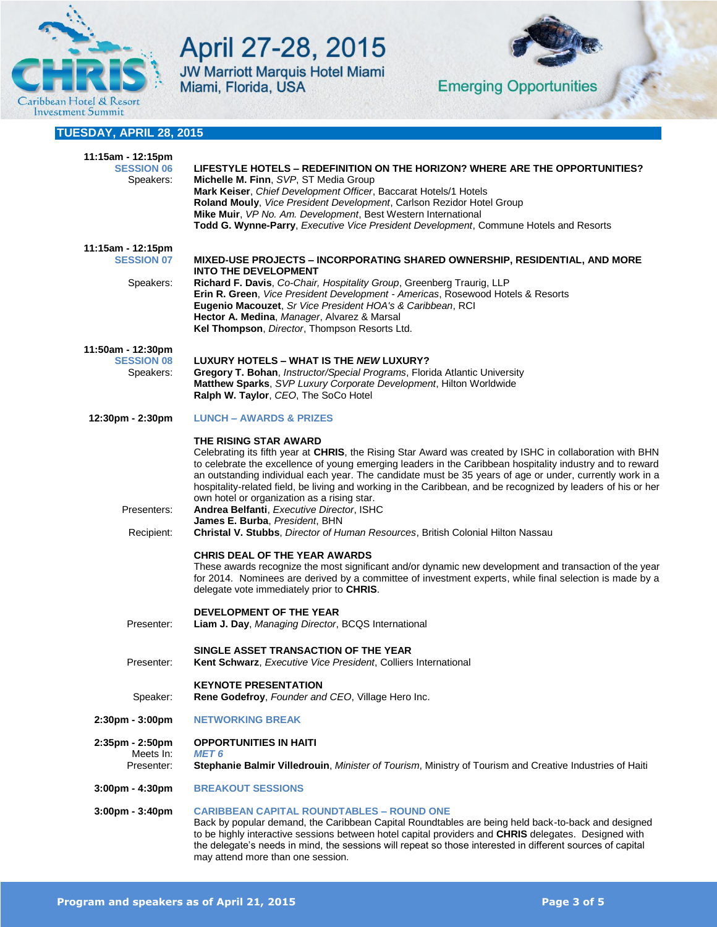

# April 27-28, 2015 JW Marriott Marquis Hotel Miami<br>Miami, Florida, USA



**Emerging Opportunities** 

# **TUESDAY, APRIL 28, 2015**

| 11:15am - 12:15pm<br><b>SESSION 06</b><br>Speakers: | LIFESTYLE HOTELS – REDEFINITION ON THE HORIZON? WHERE ARE THE OPPORTUNITIES?<br>Michelle M. Finn, SVP, ST Media Group<br>Mark Keiser, Chief Development Officer, Baccarat Hotels/1 Hotels<br>Roland Mouly, Vice President Development, Carlson Rezidor Hotel Group<br>Mike Muir, VP No. Am. Development, Best Western International<br>Todd G. Wynne-Parry, Executive Vice President Development, Commune Hotels and Resorts                                                                                                                                                                              |
|-----------------------------------------------------|-----------------------------------------------------------------------------------------------------------------------------------------------------------------------------------------------------------------------------------------------------------------------------------------------------------------------------------------------------------------------------------------------------------------------------------------------------------------------------------------------------------------------------------------------------------------------------------------------------------|
| 11:15am - 12:15pm<br><b>SESSION 07</b><br>Speakers: | MIXED-USE PROJECTS – INCORPORATING SHARED OWNERSHIP, RESIDENTIAL, AND MORE<br><b>INTO THE DEVELOPMENT</b><br>Richard F. Davis, Co-Chair, Hospitality Group, Greenberg Traurig, LLP<br>Erin R. Green, Vice President Development - Americas, Rosewood Hotels & Resorts<br>Eugenio Macouzet, Sr Vice President HOA's & Caribbean, RCI<br>Hector A. Medina, Manager, Alvarez & Marsal<br>Kel Thompson, Director, Thompson Resorts Ltd.                                                                                                                                                                       |
| 11:50am - 12:30pm<br><b>SESSION 08</b><br>Speakers: | LUXURY HOTELS - WHAT IS THE NEW LUXURY?<br>Gregory T. Bohan, Instructor/Special Programs, Florida Atlantic University<br>Matthew Sparks, SVP Luxury Corporate Development, Hilton Worldwide<br>Ralph W. Taylor, CEO, The SoCo Hotel                                                                                                                                                                                                                                                                                                                                                                       |
| 12:30pm - 2:30pm                                    | <b>LUNCH - AWARDS &amp; PRIZES</b>                                                                                                                                                                                                                                                                                                                                                                                                                                                                                                                                                                        |
| Presenters:                                         | THE RISING STAR AWARD<br>Celebrating its fifth year at CHRIS, the Rising Star Award was created by ISHC in collaboration with BHN<br>to celebrate the excellence of young emerging leaders in the Caribbean hospitality industry and to reward<br>an outstanding individual each year. The candidate must be 35 years of age or under, currently work in a<br>hospitality-related field, be living and working in the Caribbean, and be recognized by leaders of his or her<br>own hotel or organization as a rising star.<br>Andrea Belfanti, Executive Director, ISHC<br>James E. Burba, President, BHN |
| Recipient:                                          | <b>Christal V. Stubbs, Director of Human Resources, British Colonial Hilton Nassau</b><br><b>CHRIS DEAL OF THE YEAR AWARDS</b><br>These awards recognize the most significant and/or dynamic new development and transaction of the year<br>for 2014. Nominees are derived by a committee of investment experts, while final selection is made by a<br>delegate vote immediately prior to CHRIS.                                                                                                                                                                                                          |
| Presenter:                                          | <b>DEVELOPMENT OF THE YEAR</b><br>Liam J. Day, Managing Director, BCQS International                                                                                                                                                                                                                                                                                                                                                                                                                                                                                                                      |
| Presenter:                                          | SINGLE ASSET TRANSACTION OF THE YEAR<br>Kent Schwarz, Executive Vice President, Colliers International                                                                                                                                                                                                                                                                                                                                                                                                                                                                                                    |
| Speaker:                                            | <b>KEYNOTE PRESENTATION</b><br>Rene Godefroy, Founder and CEO, Village Hero Inc.                                                                                                                                                                                                                                                                                                                                                                                                                                                                                                                          |
| $2:30pm - 3:00pm$                                   | <b>NETWORKING BREAK</b>                                                                                                                                                                                                                                                                                                                                                                                                                                                                                                                                                                                   |
| 2:35pm - 2:50pm<br>Meets In:<br>Presenter:          | <b>OPPORTUNITIES IN HAITI</b><br><b>MET 6</b><br>Stephanie Balmir Villedrouin, Minister of Tourism, Ministry of Tourism and Creative Industries of Haiti                                                                                                                                                                                                                                                                                                                                                                                                                                                  |
| $3:00$ pm - $4:30$ pm                               | <b>BREAKOUT SESSIONS</b>                                                                                                                                                                                                                                                                                                                                                                                                                                                                                                                                                                                  |
| $3:00$ pm - $3:40$ pm                               | <b>CARIBBEAN CAPITAL ROUNDTABLES - ROUND ONE</b><br>Back by popular demand, the Caribbean Capital Roundtables are being held back-to-back and designed<br>to be highly interactive sessions between hotel capital providers and CHRIS delegates. Designed with<br>the delegate's needs in mind, the sessions will repeat so those interested in different sources of capital<br>may attend more than one session.                                                                                                                                                                                         |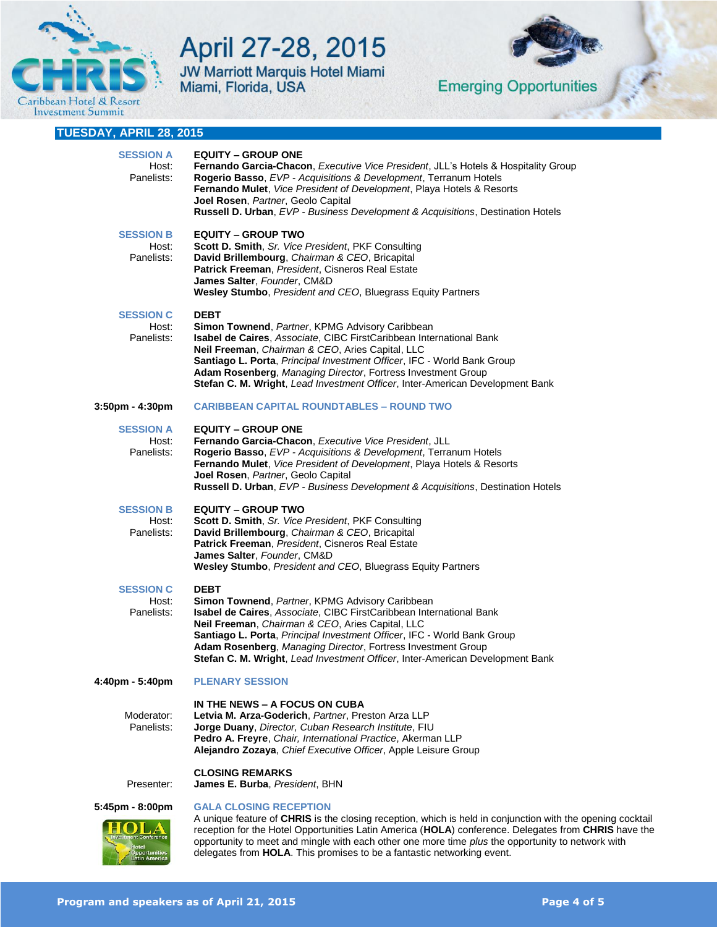

# April 27-28, 2015 JW Marriott Marquis Hotel Miami<br>Miami, Florida, USA



**Emerging Opportunities** 

| TUESDAY, APRIL 28, 2015                 |                                                                                                                                                                                                                                                                                                                                                                                                                       |
|-----------------------------------------|-----------------------------------------------------------------------------------------------------------------------------------------------------------------------------------------------------------------------------------------------------------------------------------------------------------------------------------------------------------------------------------------------------------------------|
| <b>SESSION A</b><br>Host:<br>Panelists: | <b>EQUITY – GROUP ONE</b><br>Fernando Garcia-Chacon, Executive Vice President, JLL's Hotels & Hospitality Group<br>Rogerio Basso, EVP - Acquisitions & Development, Terranum Hotels<br>Fernando Mulet, Vice President of Development, Playa Hotels & Resorts<br>Joel Rosen, Partner, Geolo Capital<br>Russell D. Urban, EVP - Business Development & Acquisitions, Destination Hotels                                 |
| <b>SESSION B</b><br>Host:<br>Panelists: | <b>EQUITY – GROUP TWO</b><br>Scott D. Smith, Sr. Vice President, PKF Consulting<br>David Brillembourg, Chairman & CEO, Bricapital<br>Patrick Freeman, President, Cisneros Real Estate<br>James Salter, Founder, CM&D<br>Wesley Stumbo, President and CEO, Bluegrass Equity Partners                                                                                                                                   |
| <b>SESSION C</b><br>Host:<br>Panelists: | <b>DEBT</b><br>Simon Townend, Partner, KPMG Advisory Caribbean<br>Isabel de Caires, Associate, CIBC FirstCaribbean International Bank<br>Neil Freeman, Chairman & CEO, Aries Capital, LLC<br>Santiago L. Porta, Principal Investment Officer, IFC - World Bank Group<br>Adam Rosenberg, Managing Director, Fortress Investment Group<br>Stefan C. M. Wright, Lead Investment Officer, Inter-American Development Bank |
| $3:50$ pm - $4:30$ pm                   | <b>CARIBBEAN CAPITAL ROUNDTABLES - ROUND TWO</b>                                                                                                                                                                                                                                                                                                                                                                      |
| <b>SESSION A</b><br>Host:<br>Panelists: | <b>EQUITY – GROUP ONE</b><br>Fernando Garcia-Chacon, Executive Vice President, JLL<br>Rogerio Basso, EVP - Acquisitions & Development, Terranum Hotels<br>Fernando Mulet, Vice President of Development, Playa Hotels & Resorts<br>Joel Rosen, Partner, Geolo Capital<br><b>Russell D. Urban, EVP - Business Development &amp; Acquisitions, Destination Hotels</b>                                                   |
| <b>SESSION B</b><br>Host:<br>Panelists: | <b>EQUITY - GROUP TWO</b><br>Scott D. Smith, Sr. Vice President, PKF Consulting<br>David Brillembourg, Chairman & CEO, Bricapital<br>Patrick Freeman, President, Cisneros Real Estate<br>James Salter, Founder, CM&D<br><b>Wesley Stumbo, President and CEO, Bluegrass Equity Partners</b>                                                                                                                            |
| <b>SESSION C</b><br>Host:<br>Panelists: | <b>DEBT</b><br>Simon Townend, Partner, KPMG Advisory Caribbean<br>Isabel de Caires, Associate, CIBC FirstCaribbean International Bank<br>Neil Freeman, Chairman & CEO, Aries Capital, LLC<br>Santiago L. Porta, Principal Investment Officer, IFC - World Bank Group<br>Adam Rosenberg, Managing Director, Fortress Investment Group<br>Stefan C. M. Wright, Lead Investment Officer, Inter-American Development Bank |
| $4:40$ pm - 5:40pm                      | <b>PLENARY SESSION</b>                                                                                                                                                                                                                                                                                                                                                                                                |
| Moderator:<br>Panelists:                | IN THE NEWS - A FOCUS ON CUBA<br>Letvia M. Arza-Goderich, Partner, Preston Arza LLP<br><b>Jorge Duany, Director, Cuban Research Institute, FIU</b><br>Pedro A. Freyre, Chair, International Practice, Akerman LLP<br>Alejandro Zozaya, Chief Executive Officer, Apple Leisure Group                                                                                                                                   |
| Presenter:                              | <b>CLOSING REMARKS</b><br>James E. Burba, President, BHN                                                                                                                                                                                                                                                                                                                                                              |
| $5:45$ pm - $8:00$ pm                   | <b>GALA CLOSING RECEPTION</b><br>A unique feature of CHRIS is the closing reception, which is held in conjunction with the opening cocktail                                                                                                                                                                                                                                                                           |
|                                         | reception for the Hotel Opportunities Latin America (HOLA) conference. Delegates from CHRIS have the<br>opportunity to meet and mingle with each other one more time <i>plus</i> the opportunity to network with                                                                                                                                                                                                      |

delegates from **HOLA**. This promises to be a fantastic networking event.